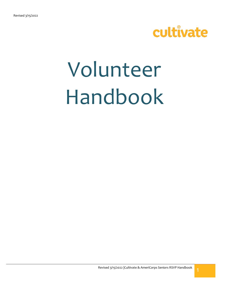

# Volunteer Handbook

Revised 3/15/2022 |Cultivate & AmeriCorps Seniors RSVP Handbook | 1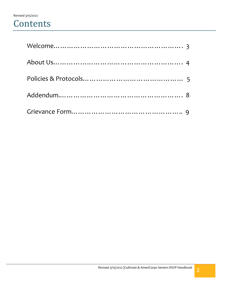## **Contents**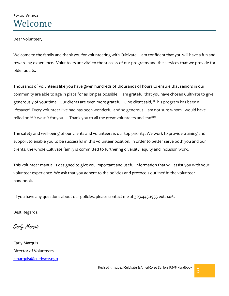Dear Volunteer,

Welcome to the family and thank you for volunteering with Cultivate! I am confident that you will have a fun and rewarding experience. Volunteers are vital to the success of our programs and the services that we provide for older adults.

Thousands of volunteers like you have given hundreds of thousands of hours to ensure that seniors in our community are able to age in place for as long as possible. I am grateful that you have chosen Cultivate to give generously of your time. Our clients are even more grateful. One client said, "This program has been a lifesaver! Every volunteer I've had has been wonderful and so generous. I am not sure whom I would have relied on if it wasn't for you.... Thank you to all the great volunteers and staff!"

The safety and well-being of our clients and volunteers is our top priority. We work to provide training and support to enable you to be successful in this volunteer position. In order to better serve both you and our clients, the whole Cultivate family is committed to furthering diversity, equity and inclusion work.

This volunteer manual is designed to give you important and useful information that will assist you with your volunteer experience. We ask that you adhere to the policies and protocols outlined in the volunteer handbook.

If you have any questions about our policies, please contact me at 303.443.1933 ext. 406.

Best Regards,

Carly Marquis

Carly Marquis Director of Volunteers [cmarquis@cultivate.ngo](mailto:thaliafoster@cultivate.ngo)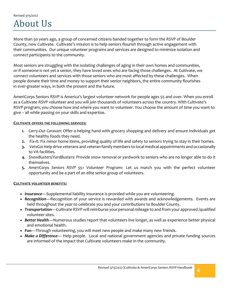## Revised 3/15/2022 About Us

More than 50 years ago, a group of concerned citizens banded together to form the RSVP of Boulder County, now Cultivate. Cultivate's mission is to help seniors flourish through active engagement with their communities*. O*ur unique volunteer programs and services are designed to minimize isolation and connect participants to the community.

Most seniors are struggling with the isolating challenges of aging in their own homes and communities, or if someone is not yet a senior, they have loved ones who are facing those challenges. At Cultivate, we connect volunteers and services with those seniors who are most affected by these challenges. When people donate their time and money to support their senior neighbors, the entire community flourishes in ever-greater ways, in both the present and the future.

AmeriCorps Seniors RSVP is America's largest volunteer network for people ages 55 and over. When you enroll as a Cultivate RSVP volunteer and you will join thousands of volunteers across the country. With Cultivate's RSVP program, you choose how and where you want to volunteer. You choose the amount of time you want to give – all while passing on your skills and expertise.

#### **CULTIVATE OFFERS THE FOLLOWING SERVICES:**

- **1.** *Carry-Out Caravan*: Offer a helping hand with grocery shopping and delivery and ensure individuals get the healthy foods they need.
- **2.** *Fix-It:* Fix minor home items, providing quality of life and safety to seniors trying to stay in their homes.
- **3.** *VetsGo***:** Help drive veterans and veteran family members to local medical appointments and occasionally to VA facilities.
- **4.** *SnowBusters/YardBusters:* Provide snow removal or yardwork to seniors who are no longer able to do it themselves.
- **5.** *AmeriCorps Seniors RSVP 55+ Volunteer Program***:** Let us match you with the perfect volunteer opportunity and be a part of an elite senior group of volunteers.

#### **CULTIVATE VOLUNTEER BENEFITS:**

- *Insurance*—Supplemental liability insurance is provided while you are volunteering.
- *Recognition*—Recognition of your service is rewarded with awards and acknowledgements. Events are held throughout the year to celebrate you and your contributions to Boulder County.
- *Transportation*—Cultivate RSVP will reimburse your personal mileage to and from your approved /qualified volunteer sites.
- *Better Health*—Numerous studies report that volunteers live longer, as well as experience better physical and emotional health.
- *Fun*—Through volunteering, you will meet new people and make many new friends.
- *Make a Difference* Help people. Local and national government agencies and private funding sources are informed of the impact that Cultivate volunteers make in the community.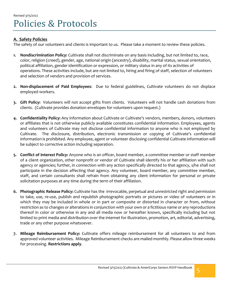#### **A. Safety Policies**

The safety of our volunteers and clients is important to us. Please take a moment to review these policies.

- **1. Nondiscrimination Policy:** Cultivate shall not discriminate on any basis including, but not limited to, race, color, religion (creed), gender, age, national origin (ancestry), disability, marital status, sexual orientation, political affiliation, gender identification or expression, or military status in any of its activities of operations. These activities include, but are not limited to, hiring and firing of staff, selection of volunteers and selection of vendors and provision of services.
- **2. Non-displacement of Paid Employees**: Due to federal guidelines, Cultivate volunteers do not displace employed workers.
- **3. Gift Policy:** Volunteers will not accept gifts from clients. Volunteers will not handle cash donations from clients. (Cultivate provides donation envelopes for volunteers upon request.)
- **4. Confidentiality Policy:** Any information about Cultivate or Cultivate's vendors, members, donors, volunteers or affiliates that is not otherwise publicly available constitutes confidential information. Employees, agents and volunteers of Cultivate may not disclose confidential information to anyone who is not employed by Cultivate. The disclosure, distribution, electronic transmission or copying of Cultivate's confidential information is prohibited. Any employee, agent or volunteer disclosing confidential Cultivate information will be subject to corrective action including separation.
- **5. Conflict of Interest Policy:** Anyone who is an officer, board member, a committee member or staff member of a client organization, other nonprofit or vendor of Cultivate shall identify his or her affiliation with such agency or agencies; further, in connection with any action specifically directed to that agency, s/he shall not participate in the decision affecting that agency. Any volunteer, board member, any committee member, staff, and certain consultants shall refrain from obtaining any client information for personal or private solicitation purposes at any time during the term of their affiliation.
- **6. Photographic Release Policy:** Cultivate has the irrevocable, perpetual and unrestricted right and permission to take, use, re-use, publish and republish photographic portraits or pictures or video of volunteers or in which they may be included in whole or in part or composite or distorted in character or from, without restriction as to changes or alterations in conjunction with your own or a fictitious name or any reproductions thereof in color or otherwise in any and all media now or hereafter known, specifically including but not limited to print media and distribution over the internet for illustration, promotion, art, editorial, advertising, trade or any other purpose whatsoever.
- **7. Mileage Reimbursement Policy:** Cultivate offers mileage reimbursement for all volunteers to and from approved volunteer activities. Mileage Reimbursement checks are mailed monthly. Please allow three weeks for processing. **Restrictions apply**.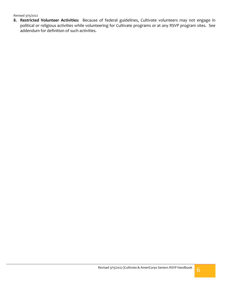**8. Restricted Volunteer Activities:** Because of federal guidelines, Cultivate volunteers may not engage in political or religious activities while volunteering for Cultivate programs or at any RSVP program sites. See addendum for definition of such activities.

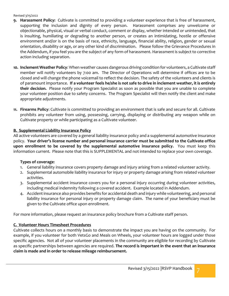- **9. Harassment Policy:** Cultivate is committed to providing a volunteer experience that is free of harassment, supporting the inclusion and dignity of every person. Harassment comprises any unwelcome or objectionable, physical, visual or verbal conduct, comment or display, whether intended or unintended, that is insulting, humiliating or degrading to another person, or creates an intimidating, hostile or offensive environment and/or is on the basis of race, ethnicity, language, financial ability, religion, gender or sexual orientation, disability or age, or any other kind of discrimination. Please follow the Grievance Procedures in the Addendum, if you feel you are the subject of any form of harassment. Harassment is subject to corrective action including separation.
- **10. Inclement Weather Policy**: When weather causes dangerous driving condition for volunteers, a Cultivate staff member will notify volunteers by 7:00 am. The Director of Operations will determine if offices are to be closed and will change the phone voicemail to reflect the decision. The safety of the volunteers and clients is of paramount importance. **If a volunteer feels he/she is not safe to drive in inclement weather, it is entirely their decision.** Please notify your Program Specialist as soon as possible that you are unable to complete your volunteer position due to safety concerns. The Program Specialist will then notify the client and make appropriate adjustments.
- **11. Firearms Policy**: Cultivate is committed to providing an environment that is safe and secure for all. Cultivate prohibits any volunteer from using, possessing, carrying, displaying or distributing any weapon while on Cultivate property or while participating as a Cultivate volunteer.

#### **B. Supplemental Liability Insurance Policy**

All active volunteers are covered by a general liability insurance policy and a supplemental automotive insurance policy. **Your driver's license number and personal insurance carrier must be submitted to the Cultivate office upon enrollment to be covered by the supplemental automotive insurance policy.** You must keep this information current. Please note that this is SUPPLEMENTAL and not intended to replace your own coverage.

#### **Types of coverage**:

- 1. General liability insurance covers property damage and injury arising from a related volunteer activity.
- 2. Supplemental automobile liability insurance for injury or property damage arising from related volunteer activities.
- 3. Supplemental accident insurance covers you for a personal injury occurring during volunteer activities, including medical indemnity following a covered accident. Example located in Addendum.
- 4. Accident insurance also provides benefits for accidental death and injury while volunteering, and personal liability insurance for personal injury or property damage claim. The name of your beneficiary must be given to the Cultivate office upon enrollment.

For more information, please request an insurance policy brochure from a Cultivate staff person.

#### **C. Volunteer Hours Timesheet Procedures**

Cultivate collects hours on a monthly basis to demonstrate the impact you are having on the community. For example, if you volunteer for both VetsGo and Meals on Wheels, your volunteer hours are logged under those specific agencies. Not all of your volunteer placements in the community are eligible for recording by Cultivate as specific partnerships between agencies are required. **The record is important in the event that an insurance claim is made and in order to release mileage reimbursement.**

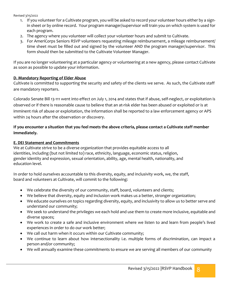- 1. If you volunteer for a Cultivate program, you will be asked to record your volunteer hours either by a signin sheet or by online record. Your program manager/supervisor will train you on which system is used for each program.
- 2. The agency where you volunteer will collect your volunteer hours and submit to Cultivate.
- 3. For AmeriCorps Seniors RSVP volunteers requesting mileage reimbursement, a mileage reimbursement/ time sheet must be filled out and signed by the volunteer AND the program manager/supervisor. This form should then be submitted to the Cultivate Volunteer Manager.

If you are no longer volunteering at a particular agency or volunteering at a new agency, please contact Cultivate as soon as possible to update your information.

#### **D. Mandatory Reporting of Elder Abuse**

Cultivate is committed to supporting the security and safety of the clients we serve. As such, the Cultivate staff are mandatory reporters.

Colorado Senate Bill 13-111 went into effect on July 1, 2014 and states that if abuse, self-neglect, or exploitation is observed or if there is reasonable cause to believe that an at-risk elder has been abused or exploited or is at imminent risk of abuse or exploitation, the information shall be reported to a law enforcement agency or APS within 24 hours after the observation or discovery.

#### **If you encounter a situation that you feel meets the above criteria, please contact a Cultivate staff member immediately.**

#### **E. DEI Statement and Commitments**

We at Cultivate strive to be a diverse organization that provides equitable access to all identities, including (but not limited to) race, ethnicity, language, economic status, religion, gender identity and expression, sexual orientation, ability, age, mental health, nationality, and education level.

In order to hold ourselves accountable to this diversity, equity, and inclusivity work, we, the staff, board and volunteers at Cultivate, will commit to the following:

- We celebrate the diversity of our community, staff, board, volunteers and clients;
- We believe that diversity, equity and inclusion work makes us a better, stronger organization;
- We educate ourselves on topics regarding diversity, equity, and inclusivity to allow us to better serve and understand our community;
- We seek to understand the privileges we each hold and use them to create more inclusive, equitable and diverse spaces;
- We work to create a safe and inclusive environment where we listen to and learn from people's lived experiences in order to do our work better;
- We call out harm when it occurs within our Cultivate community;
- We continue to learn about how intersectionality i.e. multiple forms of discrimination, can impact a person and/or community;
- We will annually examine these commitments to ensure we are serving all members of our community

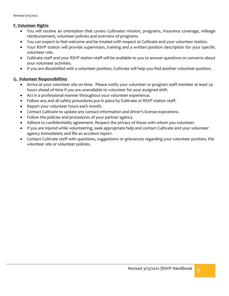#### **F. Volunteer Rights**

- You will receive an orientation that covers Cultivates mission, programs, insurance coverage, mileage reimbursement, volunteer policies and overview of programs.
- You can expect to feel welcome and be treated with respect at Cultivate and your volunteer station.
- Your RSVP station will provide supervision, training and a written position description for your specific volunteer role.
- Cultivate staff and your RSVP station staff will be available to you to answer questions or concerns about your volunteer activities.
- If you are dissatisfied with a volunteer position, Cultivate will help you find another volunteer position.

#### **G. Volunteer Responsibilities**

- Arrive at your volunteer site on time. Please notify your volunteer or program staff member at least 24 hours ahead of time if you are unavailable to volunteer for your assigned shift.
- Act in a professional manner throughout your volunteer experience**.**
- Follow any and all safety procedures put in place by Cultivate or RSVP station staff.
- Report your volunteer hours each month.
- Contact Cultivate to update any contact information and driver's license expirations.
- Follow the policies and procedures of your partner agency.
- Adhere to confidentiality agreement. Respect the privacy of those with whom you volunteer.
- If you are injured while volunteering, seek appropriate help and contact Cultivate and your volunteer agency immediately and file an accident report.
- Contact Cultivate staff with questions, suggestions or grievances regarding your volunteer position, the volunteer site or volunteer policies.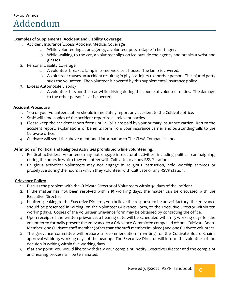#### **Examples of Supplemental Accident and Liability Coverage:**

- 1. Accident Insurance/Excess Accident Medical Coverage
	- a. While volunteering at an agency, a volunteer puts a staple in her finger.
	- b. While walking to the car, a volunteer slips on ice outside the agency and breaks a wrist and glasses.
- 2. Personal Liability Coverage
	- a. A volunteer breaks a lamp in someone else's house. The lamp is covered.
	- b. A volunteer causes an accident resulting in physical injury to another person. The injured party sues the volunteer. The volunteer is covered by this supplemental insurance policy.
- 3. Excess Automobile Liability
	- a. A volunteer hits another car while driving during the course of volunteer duties. The damage to the other person's car is covered.

#### **Accident Procedure**

- 1. You or your volunteer station should immediately report any accident to the Cultivate office.
- 2. Staff will send copies of the accident report to all relevant parties.
- 3. Please keep the accident report form until all bills are paid by your primary insurance carrier. Return the accident report, explanations of benefits form from your insurance carrier and outstanding bills to the Cultivate office.
- 4. Cultivate will send the above-mentioned information to The CIMA Companies, Inc.

#### **Definition of Political and Religious Activities prohibited while volunteering:**

- 1. Political activities: Volunteers may not engage in electoral activities, including political campaigning, during the hours in which they volunteer with Cultivate or at any RSVP station.
- 2. Religious activities: Volunteers may not engage in religious instruction, hold worship services or proselytize during the hours in which they volunteer with Cultivate or any RSVP station.

#### **Grievance Policy:**

- 1. Discuss the problem with the Cultivate Director of Volunteers within 30 days of the incident.
- 2. If the matter has not been resolved within 15 working days, the matter can be discussed with the Executive Director.
- 3. If, after speaking to the Executive Director, you believe the response to be unsatisfactory, the grievance should be presented in writing, on the Volunteer Grievance Form, to the Executive Director within ten working days. Copies of the Volunteer Grievance form may be obtained by contacting the office.
- 4. Upon receipt of the written grievance, a hearing date will be scheduled within 15 working days for the volunteer to formally present the grievance to a Grievance Committee composed of: one Cultivate Board Member, one Cultivate staff member (other than the staff member involved) and one Cultivate volunteer.
- 5. The grievance committee will prepare a recommendation in writing for the Cultivate Board Chair's approval within 15 working days of the hearing. The Executive Director will inform the volunteer of the decision in writing within five working days.
- 6. If at any point, you would like to withdraw your complaint, notify Executive Director and the complaint and hearing process will be terminated.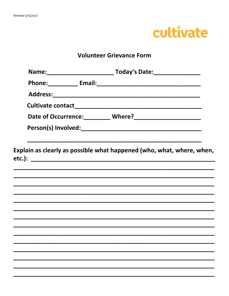

## **Volunteer Grievance Form**

|  | Explain as clearly as possible what happened (who, what, where, when, |  |
|--|-----------------------------------------------------------------------|--|
|  |                                                                       |  |
|  |                                                                       |  |
|  |                                                                       |  |
|  |                                                                       |  |
|  |                                                                       |  |
|  |                                                                       |  |
|  |                                                                       |  |
|  |                                                                       |  |
|  |                                                                       |  |
|  |                                                                       |  |
|  |                                                                       |  |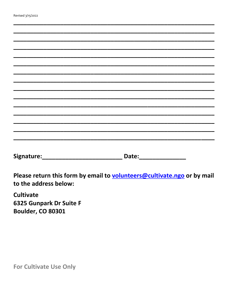| Revised 3/15/2022 |  |
|-------------------|--|
|-------------------|--|

| to the address below: | Please return this form by email to <b>volunteers@cultivate.ngo</b> or by mail |  |
|-----------------------|--------------------------------------------------------------------------------|--|

**Cultivate** 6325 Gunpark Dr Suite F **Boulder, CO 80301** 

For Cultivate Use Only